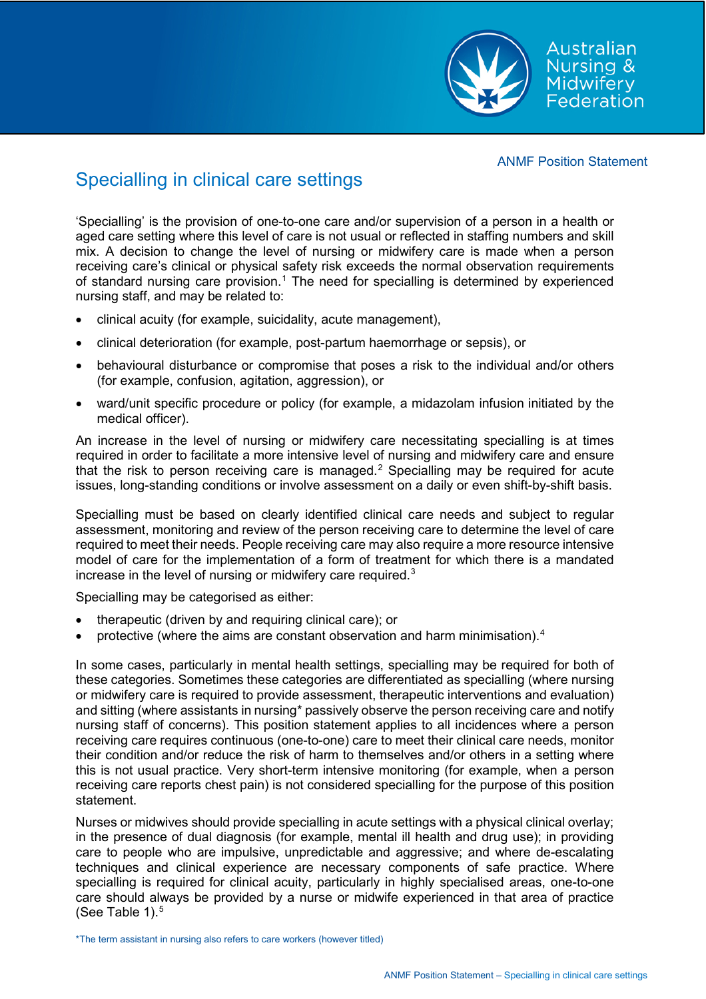

# Specialling in clinical care settings

'Specialling' is the provision of one-to-one care and/or supervision of a person in a health or aged care setting where this level of care is not usual or reflected in staffing numbers and skill mix. A decision to change the level of nursing or midwifery care is made when a person receiving care's clinical or physical safety risk exceeds the normal observation requirements of standard nursing care provision.<sup>[1](#page-4-0)</sup> The need for specialling is determined by experienced nursing staff, and may be related to:

- clinical acuity (for example, suicidality, acute management),
- clinical deterioration (for example, post-partum haemorrhage or sepsis), or
- behavioural disturbance or compromise that poses a risk to the individual and/or others (for example, confusion, agitation, aggression), or
- ward/unit specific procedure or policy (for example, a midazolam infusion initiated by the medical officer).

An increase in the level of nursing or midwifery care necessitating specialling is at times required in order to facilitate a more intensive level of nursing and midwifery care and ensure that the risk to person receiving care is managed. [2](#page-4-1) Specialling may be required for acute issues, long-standing conditions or involve assessment on a daily or even shift-by-shift basis.

Specialling must be based on clearly identified clinical care needs and subject to regular assessment, monitoring and review of the person receiving care to determine the level of care required to meet their needs. People receiving care may also require a more resource intensive model of care for the implementation of a form of treatment for which there is a mandated increase in the level of nursing or midwifery care required. $3$ 

Specialling may be categorised as either:

- therapeutic (driven by and requiring clinical care); or
- protective (where the aims are constant observation and harm minimisation).[4](#page-4-3)

In some cases, particularly in mental health settings, specialling may be required for both of these categories. Sometimes these categories are differentiated as specialling (where nursing or midwifery care is required to provide assessment, therapeutic interventions and evaluation) and sitting (where assistants in nursing\* passively observe the person receiving care and notify nursing staff of concerns). This position statement applies to all incidences where a person receiving care requires continuous (one-to-one) care to meet their clinical care needs, monitor their condition and/or reduce the risk of harm to themselves and/or others in a setting where this is not usual practice. Very short-term intensive monitoring (for example, when a person receiving care reports chest pain) is not considered specialling for the purpose of this position statement.

Nurses or midwives should provide specialling in acute settings with a physical clinical overlay; in the presence of dual diagnosis (for example, mental ill health and drug use); in providing care to people who are impulsive, unpredictable and aggressive; and where de-escalating techniques and clinical experience are necessary components of safe practice. Where specialling is required for clinical acuity, particularly in highly specialised areas, one-to-one care should always be provided by a nurse or midwife experienced in that area of practice (See Table 1). $5$ 

\*The term assistant in nursing also refers to care workers (however titled)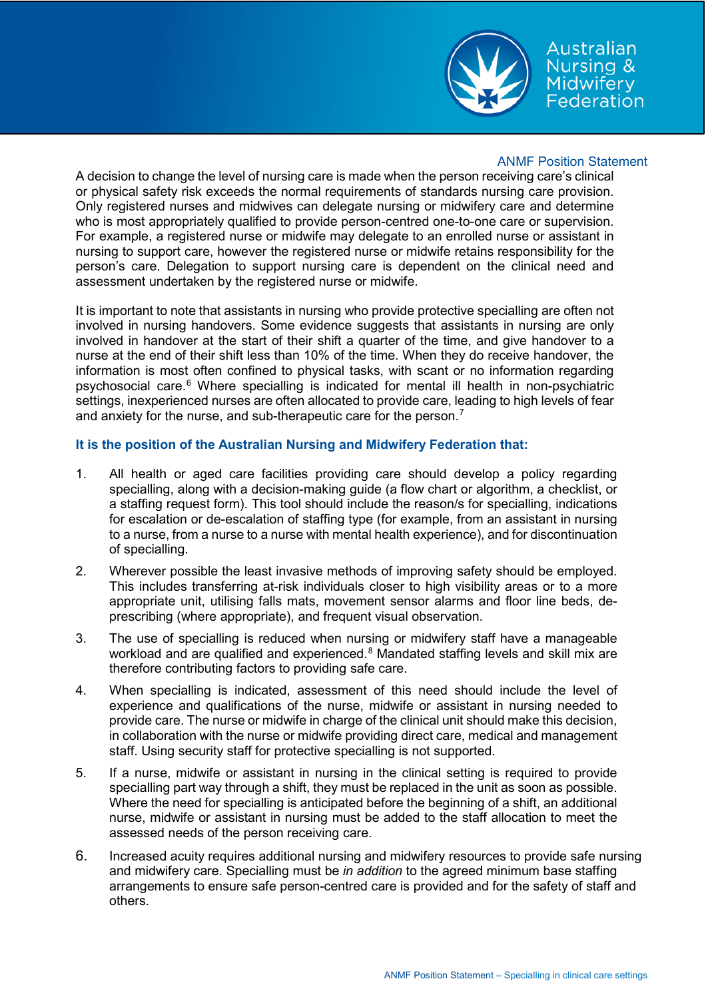

Australian Nursing & Midwifery Federation

## ANMF Position Statement

A decision to change the level of nursing care is made when the person receiving care's clinical or physical safety risk exceeds the normal requirements of standards nursing care provision. Only registered nurses and midwives can delegate nursing or midwifery care and determine who is most appropriately qualified to provide person-centred one-to-one care or supervision. For example, a registered nurse or midwife may delegate to an enrolled nurse or assistant in nursing to support care, however the registered nurse or midwife retains responsibility for the person's care. Delegation to support nursing care is dependent on the clinical need and assessment undertaken by the registered nurse or midwife.

It is important to note that assistants in nursing who provide protective specialling are often not involved in nursing handovers. Some evidence suggests that assistants in nursing are only involved in handover at the start of their shift a quarter of the time, and give handover to a nurse at the end of their shift less than 10% of the time. When they do receive handover, the information is most often confined to physical tasks, with scant or no information regarding psychosocial care.<sup>[6](#page-4-5)</sup> Where specialling is indicated for mental ill health in non-psychiatric settings, inexperienced nurses are often allocated to provide care, leading to high levels of fear and anxiety for the nurse, and sub-therapeutic care for the person.<sup>[7](#page-4-6)</sup>

#### **It is the position of the Australian Nursing and Midwifery Federation that:**

- 1. All health or aged care facilities providing care should develop a policy regarding specialling, along with a decision-making guide (a flow chart or algorithm, a checklist, or a staffing request form). This tool should include the reason/s for specialling, indications for escalation or de-escalation of staffing type (for example, from an assistant in nursing to a nurse, from a nurse to a nurse with mental health experience), and for discontinuation of specialling.
- 2. Wherever possible the least invasive methods of improving safety should be employed. This includes transferring at-risk individuals closer to high visibility areas or to a more appropriate unit, utilising falls mats, movement sensor alarms and floor line beds, deprescribing (where appropriate), and frequent visual observation.
- 3. The use of specialling is reduced when nursing or midwifery staff have a manageable workload and are qualified and experienced.<sup>[8](#page-4-7)</sup> Mandated staffing levels and skill mix are therefore contributing factors to providing safe care.
- 4. When specialling is indicated, assessment of this need should include the level of experience and qualifications of the nurse, midwife or assistant in nursing needed to provide care. The nurse or midwife in charge of the clinical unit should make this decision, in collaboration with the nurse or midwife providing direct care, medical and management staff. Using security staff for protective specialling is not supported.
- 5. If a nurse, midwife or assistant in nursing in the clinical setting is required to provide specialling part way through a shift, they must be replaced in the unit as soon as possible. Where the need for specialling is anticipated before the beginning of a shift, an additional nurse, midwife or assistant in nursing must be added to the staff allocation to meet the assessed needs of the person receiving care.
- 6. Increased acuity requires additional nursing and midwifery resources to provide safe nursing and midwifery care. Specialling must be *in addition* to the agreed minimum base staffing arrangements to ensure safe person-centred care is provided and for the safety of staff and others.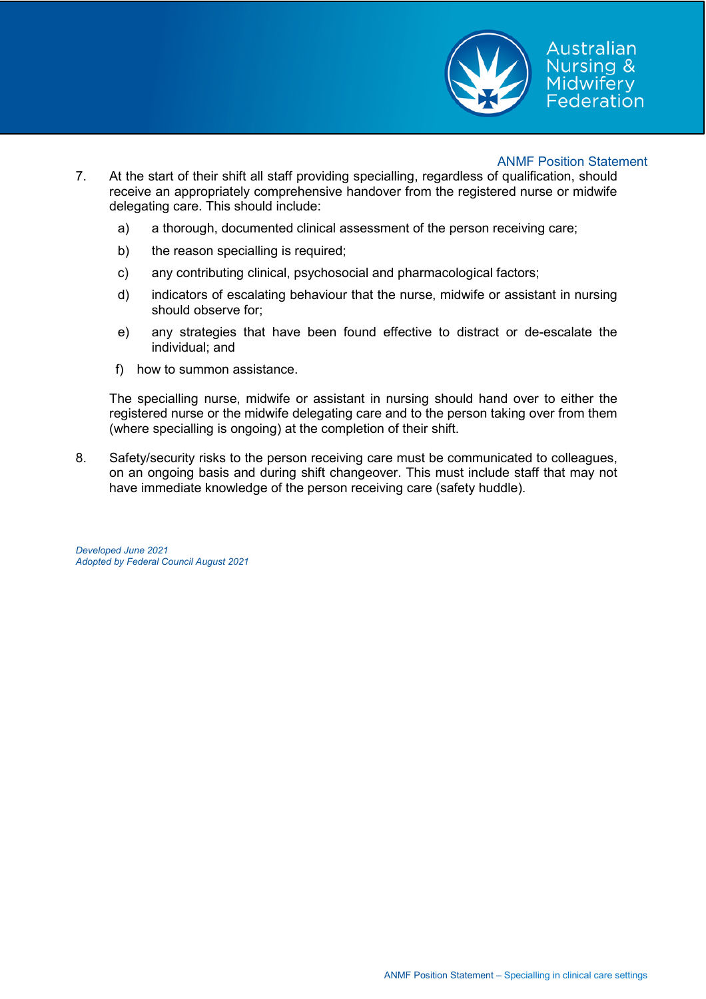

- 7. At the start of their shift all staff providing specialling, regardless of qualification, should receive an appropriately comprehensive handover from the registered nurse or midwife delegating care. This should include:
	- a) a thorough, documented clinical assessment of the person receiving care;
	- b) the reason specialling is required;
	- c) any contributing clinical, psychosocial and pharmacological factors;
	- d) indicators of escalating behaviour that the nurse, midwife or assistant in nursing should observe for;
	- e) any strategies that have been found effective to distract or de-escalate the individual; and
	- f) how to summon assistance.

The specialling nurse, midwife or assistant in nursing should hand over to either the registered nurse or the midwife delegating care and to the person taking over from them (where specialling is ongoing) at the completion of their shift.

8. Safety/security risks to the person receiving care must be communicated to colleagues, on an ongoing basis and during shift changeover. This must include staff that may not have immediate knowledge of the person receiving care (safety huddle).

*Developed June 2021 Adopted by Federal Council August 2021*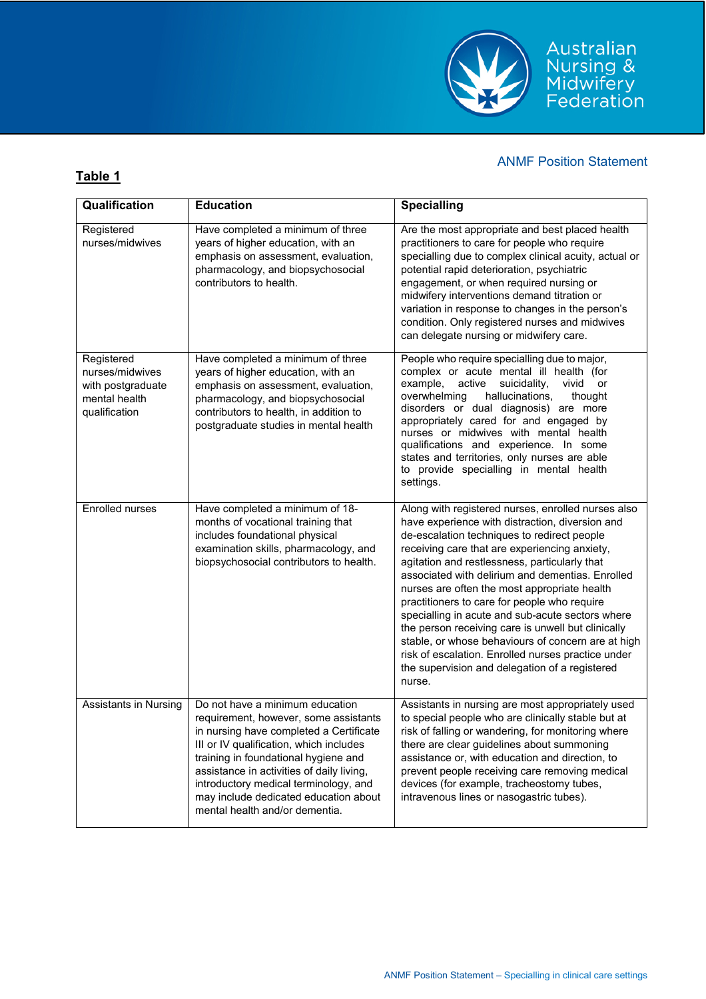

| Qualification                                                                        | <b>Education</b>                                                                                                                                                                                                                                                                                                                                                        | <b>Specialling</b>                                                                                                                                                                                                                                                                                                                                                                                                                                                                                                                                                                                                                                                                           |
|--------------------------------------------------------------------------------------|-------------------------------------------------------------------------------------------------------------------------------------------------------------------------------------------------------------------------------------------------------------------------------------------------------------------------------------------------------------------------|----------------------------------------------------------------------------------------------------------------------------------------------------------------------------------------------------------------------------------------------------------------------------------------------------------------------------------------------------------------------------------------------------------------------------------------------------------------------------------------------------------------------------------------------------------------------------------------------------------------------------------------------------------------------------------------------|
|                                                                                      |                                                                                                                                                                                                                                                                                                                                                                         |                                                                                                                                                                                                                                                                                                                                                                                                                                                                                                                                                                                                                                                                                              |
| Registered<br>nurses/midwives                                                        | Have completed a minimum of three<br>years of higher education, with an<br>emphasis on assessment, evaluation,<br>pharmacology, and biopsychosocial<br>contributors to health.                                                                                                                                                                                          | Are the most appropriate and best placed health<br>practitioners to care for people who require<br>specialling due to complex clinical acuity, actual or<br>potential rapid deterioration, psychiatric<br>engagement, or when required nursing or<br>midwifery interventions demand titration or<br>variation in response to changes in the person's<br>condition. Only registered nurses and midwives<br>can delegate nursing or midwifery care.                                                                                                                                                                                                                                            |
| Registered<br>nurses/midwives<br>with postgraduate<br>mental health<br>qualification | Have completed a minimum of three<br>years of higher education, with an<br>emphasis on assessment, evaluation,<br>pharmacology, and biopsychosocial<br>contributors to health, in addition to<br>postgraduate studies in mental health                                                                                                                                  | People who require specialling due to major,<br>complex or acute mental ill health (for<br>example,<br>suicidality,<br>vivid<br>active<br>or<br>overwhelming<br>hallucinations,<br>thought<br>disorders or dual diagnosis) are more<br>appropriately cared for and engaged by<br>nurses or midwives with mental health<br>qualifications and experience. In some<br>states and territories, only nurses are able<br>to provide specialling in mental health<br>settings.                                                                                                                                                                                                                     |
| Enrolled nurses                                                                      | Have completed a minimum of 18-<br>months of vocational training that<br>includes foundational physical<br>examination skills, pharmacology, and<br>biopsychosocial contributors to health.                                                                                                                                                                             | Along with registered nurses, enrolled nurses also<br>have experience with distraction, diversion and<br>de-escalation techniques to redirect people<br>receiving care that are experiencing anxiety,<br>agitation and restlessness, particularly that<br>associated with delirium and dementias. Enrolled<br>nurses are often the most appropriate health<br>practitioners to care for people who require<br>specialling in acute and sub-acute sectors where<br>the person receiving care is unwell but clinically<br>stable, or whose behaviours of concern are at high<br>risk of escalation. Enrolled nurses practice under<br>the supervision and delegation of a registered<br>nurse. |
| <b>Assistants in Nursing</b>                                                         | Do not have a minimum education<br>requirement, however, some assistants<br>in nursing have completed a Certificate<br>III or IV qualification, which includes<br>training in foundational hygiene and<br>assistance in activities of daily living,<br>introductory medical terminology, and<br>may include dedicated education about<br>mental health and/or dementia. | Assistants in nursing are most appropriately used<br>to special people who are clinically stable but at<br>risk of falling or wandering, for monitoring where<br>there are clear guidelines about summoning<br>assistance or, with education and direction, to<br>prevent people receiving care removing medical<br>devices (for example, tracheostomy tubes,<br>intravenous lines or nasogastric tubes).                                                                                                                                                                                                                                                                                    |

**Table 1**